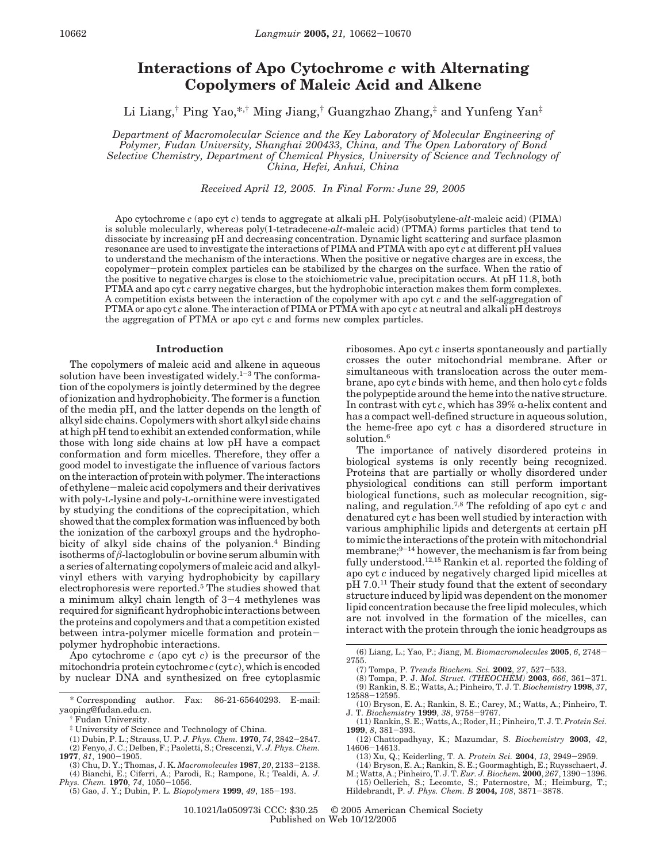# **Interactions of Apo Cytochrome** *c* **with Alternating Copolymers of Maleic Acid and Alkene**

Li Liang,† Ping Yao,\*,† Ming Jiang,† Guangzhao Zhang,‡ and Yunfeng Yan‡

*Department of Macromolecular Science and the Key Laboratory of Molecular Engineering of Polymer, Fudan University, Shanghai 200433, China, and The Open Laboratory of Bond Selective Chemistry, Department of Chemical Physics, University of Science and Technology of China, Hefei, Anhui, China*

*Received April 12, 2005. In Final Form: June 29, 2005*

Apo cytochrome *c* (apo cyt *c*) tends to aggregate at alkali pH. Poly(isobutylene-*alt*-maleic acid) (PIMA) is soluble molecularly, whereas poly(1-tetradecene-*alt*-maleic acid) (PTMA) forms particles that tend to dissociate by increasing pH and decreasing concentration. Dynamic light scattering and surface plasmon resonance are used to investigate the interactions of PIMA and PTMA with apo cyt *c* at different pH values to understand the mechanism of the interactions. When the positive or negative charges are in excess, the copolymer-protein complex particles can be stabilized by the charges on the surface. When the ratio of the positive to negative charges is close to the stoichiometric value, precipitation occurs. At pH 11.8, both PTMA and apo cyt *c* carry negative charges, but the hydrophobic interaction makes them form complexes. A competition exists between the interaction of the copolymer with apo cyt *c* and the self-aggregation of PTMA or apo cyt *c* alone. The interaction of PIMA or PTMA with apo cyt *c* at neutral and alkali pH destroys the aggregation of PTMA or apo cyt *c* and forms new complex particles.

#### **Introduction**

The copolymers of maleic acid and alkene in aqueous solution have been investigated widely.<sup>1-3</sup> The conformation of the copolymers is jointly determined by the degree of ionization and hydrophobicity. The former is a function of the media pH, and the latter depends on the length of alkyl side chains. Copolymers with short alkyl side chains at high pH tend to exhibit an extended conformation, while those with long side chains at low pH have a compact conformation and form micelles. Therefore, they offer a good model to investigate the influence of various factors on the interaction of protein with polymer. The interactions of ethylene-maleic acid copolymers and their derivatives with poly-L-lysine and poly-L-ornithine were investigated by studying the conditions of the coprecipitation, which showed that the complex formation was influenced by both the ionization of the carboxyl groups and the hydrophobicity of alkyl side chains of the polyanion.<sup>4</sup> Binding isotherms of *â*-lactoglobulin or bovine serum albumin with a series of alternating copolymers of maleic acid and alkylvinyl ethers with varying hydrophobicity by capillary electrophoresis were reported.5 The studies showed that a minimum alkyl chain length of 3-4 methylenes was required for significant hydrophobic interactions between the proteins and copolymers and that a competition existed between intra-polymer micelle formation and proteinpolymer hydrophobic interactions.

Apo cytochrome *c* (apo cyt *c*) is the precursor of the mitochondria protein cytochrome *c* (cyt *c*), which is encoded by nuclear DNA and synthesized on free cytoplasmic

- ‡ University of Science and Technology of China.
- (1) Dubin, P. L.; Strauss, U. P. *J. Phys. Chem.* **<sup>1970</sup>**, *<sup>74</sup>*, 2842-2847.
- (2) Fenyo, J. C.; Delben, F.; Paoletti, S.; Crescenzi, V. *J. Phys. Chem.*
- **<sup>1977</sup>**, *<sup>81</sup>*, 1900-1905. (3) Chu, D. Y.; Thomas, J. K. *Macromolecules* **<sup>1987</sup>**, *<sup>20</sup>*, 2133-2138. (4) Bianchi, E.; Ciferri, A.; Parodi, R.; Rampone, R.; Tealdi, A. *J.*
- *Phys. Chem.* **<sup>1970</sup>**, *<sup>74</sup>*, 1050-1056.
- (5) Gao, J. Y.; Dubin, P. L. *Biopolymers* **<sup>1999</sup>**, *<sup>49</sup>*, 185-193.

ribosomes. Apo cyt *c* inserts spontaneously and partially crosses the outer mitochondrial membrane. After or simultaneous with translocation across the outer membrane, apo cyt *c* binds with heme, and then holo cyt *c* folds the polypeptide around the heme into the native structure. In contrast with cyt  $c$ , which has  $39\%$   $\alpha$ -helix content and has a compact well-defined structure in aqueous solution, the heme-free apo cyt *c* has a disordered structure in solution.<sup>6</sup>

The importance of natively disordered proteins in biological systems is only recently being recognized. Proteins that are partially or wholly disordered under physiological conditions can still perform important biological functions, such as molecular recognition, signaling, and regulation.7,8 The refolding of apo cyt *c* and denatured cyt *c* has been well studied by interaction with various amphiphilic lipids and detergents at certain pH to mimic the interactions of the protein with mitochondrial membrane; $9-14$  however, the mechanism is far from being fully understood.12,15 Rankin et al. reported the folding of apo cyt *c* induced by negatively charged lipid micelles at pH 7.0.<sup>11</sup> Their study found that the extent of secondary structure induced by lipid was dependent on the monomer lipid concentration because the free lipid molecules, which are not involved in the formation of the micelles, can interact with the protein through the ionic headgroups as

- (6) Liang, L.; Yao, P.; Jiang, M. *Biomacromolecules* **<sup>2005</sup>**, *<sup>6</sup>*, 2748- 2755.
	-
- (7) Tompa, P. *Trends Biochem. Sci.* **<sup>2002</sup>**, *<sup>27</sup>*, 527-533. (8) Tompa, P. J. *Mol. Struct. (THEOCHEM)* **<sup>2003</sup>**, *<sup>666</sup>*, 361-371. (9) Rankin, S. E.; Watts, A.; Pinheiro, T. J. T. *Biochemistry* **1998**, *37*, <sup>12588</sup>-12595.
- (10) Bryson, E. A.; Rankin, S. E.; Carey, M.; Watts, A.; Pinheiro, T. J. T. *Biochemistry* **<sup>1999</sup>**, *<sup>38</sup>*, 9758-9767. (11) Rankin, S. E.; Watts, A.; Roder, H.; Pinheiro, T. J. T. *Protein Sci.*
- **<sup>1999</sup>**, *<sup>8</sup>*, 381-393. (12) Chattopadhyay, K.; Mazumdar, S. *Biochemistry* **2003**, *42*,
- 14606-14613.<br>
(13) Xu, Q.; Keiderling, T. A. Protein Sci. 2004, 13, 2949-2959.
- 
- 
- (13) Xu, Q.; Keiderling, T. A. Protein Sci. 2004, 13, 2949–2959.<br>(14) Bryson, E. A.; Rankin, S. E.; Goormaghtigh, E.; Ruysschaert, J. M.; Watts, A.; Pinheiro, T. J. T. Eur. J.<br>M.; Watts, A.; Pinheiro, T. J. T. Eur. J. Bio (15) Oellerich, S.; Lecomte, S.; Paternostre, M.; Heimburg, T.;
- Hildebrandt, P. *J. Phys. Chem. B* **2004,** *<sup>108</sup>*, 3871-3878.

10.1021/la050973i CCC: \$30.25 © 2005 American Chemical Society Published on Web 10/12/2005

<sup>\*</sup> Corresponding author. Fax: 86-21-65640293. E-mail: yaoping@fudan.edu.cn.

<sup>†</sup> Fudan University.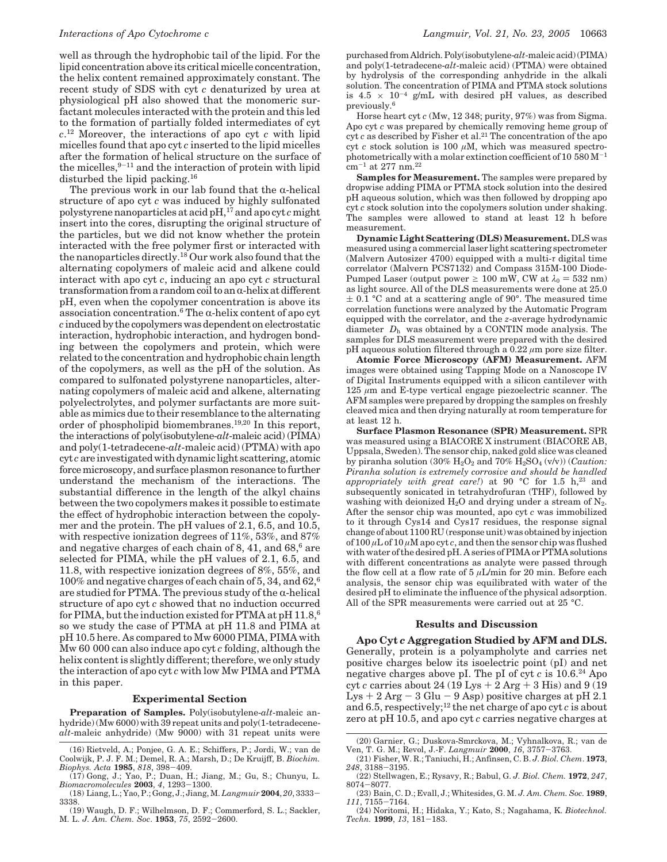well as through the hydrophobic tail of the lipid. For the lipid concentration above its critical micelle concentration, the helix content remained approximately constant. The recent study of SDS with cyt *c* denaturized by urea at physiological pH also showed that the monomeric surfactant molecules interacted with the protein and this led to the formation of partially folded intermediates of cyt *c*. <sup>12</sup> Moreover, the interactions of apo cyt *c* with lipid micelles found that apo cyt *c* inserted to the lipid micelles after the formation of helical structure on the surface of the micelles, $9-11$  and the interaction of protein with lipid disturbed the lipid packing.16

The previous work in our lab found that the  $\alpha$ -helical structure of apo cyt *c* was induced by highly sulfonated polystyrene nanoparticles at acid pH,17 and apo cyt *c* might insert into the cores, disrupting the original structure of the particles, but we did not know whether the protein interacted with the free polymer first or interacted with the nanoparticles directly.<sup>18</sup> Our work also found that the alternating copolymers of maleic acid and alkene could interact with apo cyt *c*, inducing an apo cyt *c* structural transformation from a random coil to an  $\alpha$ -helix at different pH, even when the copolymer concentration is above its association concentration.<sup>6</sup> The  $\alpha$ -helix content of apo cyt *c* induced by the copolymers was dependent on electrostatic interaction, hydrophobic interaction, and hydrogen bonding between the copolymers and protein, which were related to the concentration and hydrophobic chain length of the copolymers, as well as the pH of the solution. As compared to sulfonated polystyrene nanoparticles, alternating copolymers of maleic acid and alkene, alternating polyelectrolytes, and polymer surfactants are more suitable as mimics due to their resemblance to the alternating order of phospholipid biomembranes.19,20 In this report, the interactions of poly(isobutylene-*alt*-maleic acid) (PIMA) and poly(1-tetradecene-*alt*-maleic acid) (PTMA) with apo cyt *c* are investigated with dynamic light scattering, atomic force microscopy, and surface plasmon resonance to further understand the mechanism of the interactions. The substantial difference in the length of the alkyl chains between the two copolymers makes it possible to estimate the effect of hydrophobic interaction between the copolymer and the protein. The pH values of 2.1, 6.5, and 10.5, with respective ionization degrees of 11%, 53%, and 87% and negative charges of each chain of  $8, 41$ , and  $68<sup>6</sup>$  are selected for PIMA, while the pH values of 2.1, 6.5, and 11.8, with respective ionization degrees of 8%, 55%, and 100% and negative charges of each chain of 5, 34, and 62,6 are studied for PTMA. The previous study of the  $\alpha$ -helical structure of apo cyt *c* showed that no induction occurred for PIMA, but the induction existed for PTMA at  $pH$  11.8,<sup>6</sup> so we study the case of PTMA at pH 11.8 and PIMA at pH 10.5 here. As compared to Mw 6000 PIMA, PIMA with Mw 60 000 can also induce apo cyt *c* folding, although the helix content is slightly different; therefore, we only study the interaction of apo cyt *c* with low Mw PIMA and PTMA in this paper.

#### **Experimental Section**

**Preparation of Samples.** Poly(isobutylene-*alt*-maleic anhydride) (Mw 6000) with 39 repeat units and poly(1-tetradecene*alt*-maleic anhydride) (Mw 9000) with 31 repeat units were purchased from Aldrich. Poly(isobutylene-*alt*-maleic acid) (PIMA) and poly(1-tetradecene-*alt*-maleic acid) (PTMA) were obtained by hydrolysis of the corresponding anhydride in the alkali solution. The concentration of PIMA and PTMA stock solutions is 4.5  $\times$  10<sup>-4</sup> g/mL with desired pH values, as described previously.6

Horse heart cyt *c* (Mw, 12 348; purity, 97%) was from Sigma. Apo cyt *c* was prepared by chemically removing heme group of cyt *c* as described by Fisher et al.<sup>21</sup> The concentration of the apo cyt *c* stock solution is 100 *µ*M, which was measured spectrophotometrically with a molar extinction coefficient of  $10\,580\,\mathrm{M}^{-1}$ cm-<sup>1</sup> at 277 nm.22

**Samples for Measurement.** The samples were prepared by dropwise adding PIMA or PTMA stock solution into the desired pH aqueous solution, which was then followed by dropping apo cyt *c* stock solution into the copolymers solution under shaking. The samples were allowed to stand at least 12 h before measurement.

**Dynamic Light Scattering (DLS) Measurement.** DLS was measured using a commercial laser light scattering spectrometer (Malvern Autosizer 4700) equipped with a multi-*τ* digital time correlator (Malvern PCS7132) and Compass 315M-100 Diode-Pumped Laser (output power  $\geq 100$  mW, CW at  $\lambda_0 = 532$  nm) as light source. All of the DLS measurements were done at 25.0  $\pm$  0.1 °C and at a scattering angle of 90°. The measured time correlation functions were analyzed by the Automatic Program equipped with the correlator, and the *z*-average hydrodynamic diameter  $\langle D_{\rm h} \rangle$  was obtained by a CONTIN mode analysis. The samples for DLS measurement were prepared with the desired pH aqueous solution filtered through a 0.22 *µ*m pore size filter.

**Atomic Force Microscopy (AFM) Measurement.** AFM images were obtained using Tapping Mode on a Nanoscope IV of Digital Instruments equipped with a silicon cantilever with 125 *µ*m and E-type vertical engage piezoelectric scanner. The AFM samples were prepared by dropping the samples on freshly cleaved mica and then drying naturally at room temperature for at least 12 h.

**Surface Plasmon Resonance (SPR) Measurement.** SPR was measured using a BIACORE X instrument (BIACORE AB, Uppsala, Sweden). The sensor chip, naked gold slice was cleaned by piranha solution  $(30\% \text{ H}_2\text{O}_2 \text{ and } 70\% \text{ H}_2\text{SO}_4 \text{ (v/v)})$   $(Caution$ : *Piranha solution is extremely corrosive and should be handled appropriately with great care!*) at 90 °C for 1.5 h,<sup>23</sup> and subsequently sonicated in tetrahydrofuran (THF), followed by washing with deionized  $H_2O$  and drying under a stream of  $N_2$ . After the sensor chip was mounted, apo cyt *c* was immobilized to it through Cys14 and Cys17 residues, the response signal change of about 1100 RU (response unit) was obtained by injection of 100 *µ*L of 10 *µ*M apo cyt *c*, and then the sensor chip was flushed with water of the desired pH. A series of PIMA or PTMA solutions with different concentrations as analyte were passed through the flow cell at a flow rate of 5 *µ*L/min for 20 min. Before each analysis, the sensor chip was equilibrated with water of the desired pH to eliminate the influence of the physical adsorption. All of the SPR measurements were carried out at 25 °C.

### **Results and Discussion**

**Apo Cyt** *c* **Aggregation Studied by AFM and DLS.** Generally, protein is a polyampholyte and carries net positive charges below its isoelectric point (pI) and net negative charges above pI. The pI of cyt  $c$  is  $10.6<sup>24</sup>$  Apo cyt *c* carries about 24 (19 Lys  $+ 2$  Arg  $+ 3$  His) and 9 (19 Lys  $+ 2$  Arg  $- 3$  Glu  $- 9$  Asp) positive charges at pH 2.1 and 6.5, respectively;12 the net charge of apo cyt *c* is about zero at pH 10.5, and apo cyt *c* carries negative charges at

<sup>(16)</sup> Rietveld, A.; Ponjee, G. A. E.; Schiffers, P.; Jordi, W.; van de Coolwijk, P. J. F. M.; Demel, R. A.; Marsh, D.; De Kruijff, B. *Biochim. Biophys. Acta* **<sup>1985</sup>**, *<sup>818</sup>*, 398-409. (17) Gong, J.; Yao, P.; Duan, H.; Jiang, M.; Gu, S.; Chunyu, L.

*Biomacromolecules* **<sup>2003</sup>**, *<sup>4</sup>*, 1293-1300. (18) Liang, L.; Yao, P.; Gong, J.; Jiang, M. *Langmuir* **<sup>2004</sup>**, *<sup>20</sup>*, 3333- 3338.

<sup>(19)</sup> Waugh, D. F.; Wilhelmson, D. F.; Commerford, S. L.; Sackler, M. L. *J. Am. Chem. Soc*. **<sup>1953</sup>**, *<sup>75</sup>*, 2592-2600.

<sup>(20)</sup> Garnier, G.; Duskova-Smrckova, M.; Vyhnalkova, R.; van de Ven, T. G. M.; Revol, J.-F. *Langmuir* **<sup>2000</sup>**, *<sup>16</sup>*, 3757-3763.

<sup>(21)</sup> Fisher, W. R.; Taniuchi, H.; Anfinsen, C. B. *J. Biol. Chem*. **1973**, *<sup>248</sup>*, 3188-3195.

<sup>(22)</sup> Stellwagen, E.; Rysavy, R.; Babul, G. *J. Biol. Chem.* **1972**, *247*, <sup>8074</sup>-8077.

<sup>(23)</sup> Bain, C. D.; Evall, J.; Whitesides, G. M. *J. Am. Chem. Soc.* **1989**, *<sup>111</sup>*, 7155-7164.

<sup>(24)</sup> Noritomi, H.; Hidaka, Y.; Kato, S.; Nagahama, K. *Biotechnol. Techn.* **<sup>1999</sup>**, *<sup>13</sup>*, 181-183.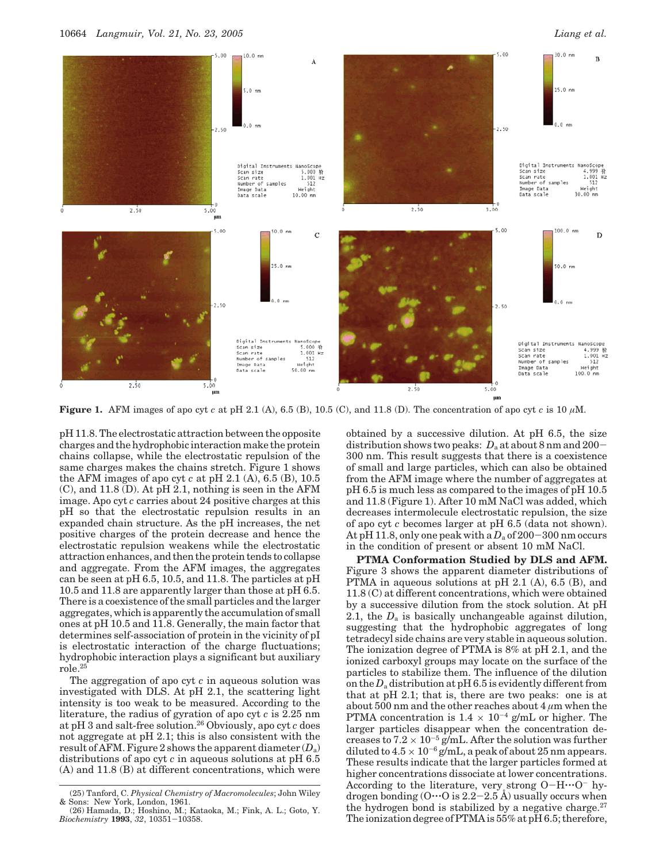

**Figure 1.** AFM images of apo cyt *c* at pH 2.1 (A), 6.5 (B), 10.5 (C), and 11.8 (D). The concentration of apo cyt *c* is 10  $\mu$ M.

pH 11.8. The electrostatic attraction between the opposite charges and the hydrophobic interaction make the protein chains collapse, while the electrostatic repulsion of the same charges makes the chains stretch. Figure 1 shows the AFM images of apo cyt *c* at pH 2.1 (A), 6.5 (B), 10.5 (C), and 11.8 (D). At pH 2.1, nothing is seen in the AFM image. Apo cyt *c* carries about 24 positive charges at this pH so that the electrostatic repulsion results in an expanded chain structure. As the pH increases, the net positive charges of the protein decrease and hence the electrostatic repulsion weakens while the electrostatic attraction enhances, and then the protein tends to collapse and aggregate. From the AFM images, the aggregates can be seen at pH 6.5, 10.5, and 11.8. The particles at pH 10.5 and 11.8 are apparently larger than those at pH 6.5. There is a coexistence of the small particles and the larger aggregates, which is apparently the accumulation of small ones at pH 10.5 and 11.8. Generally, the main factor that determines self-association of protein in the vicinity of pI is electrostatic interaction of the charge fluctuations; hydrophobic interaction plays a significant but auxiliary role.25

The aggregation of apo cyt *c* in aqueous solution was investigated with DLS. At pH 2.1, the scattering light intensity is too weak to be measured. According to the literature, the radius of gyration of apo cyt *c* is 2.25 nm at pH 3 and salt-free solution.26 Obviously, apo cyt *c* does not aggregate at pH 2.1; this is also consistent with the result of AFM. Figure 2 shows the apparent diameter (*D*a) distributions of apo cyt *c* in aqueous solutions at pH 6.5 (A) and 11.8 (B) at different concentrations, which were obtained by a successive dilution. At pH 6.5, the size distribution shows two peaks:  $D_a$  at about 8 nm and 200-300 nm. This result suggests that there is a coexistence of small and large particles, which can also be obtained from the AFM image where the number of aggregates at pH 6.5 is much less as compared to the images of pH 10.5 and 11.8 (Figure 1). After 10 mM NaCl was added, which decreases intermolecule electrostatic repulsion, the size of apo cyt *c* becomes larger at pH 6.5 (data not shown). At pH 11.8, only one peak with a  $D_a$  of 200-300 nm occurs in the condition of present or absent 10 mM NaCl.

**PTMA Conformation Studied by DLS and AFM.** Figure 3 shows the apparent diameter distributions of PTMA in aqueous solutions at pH 2.1 (A), 6.5 (B), and 11.8 (C) at different concentrations, which were obtained by a successive dilution from the stock solution. At pH 2.1, the  $D_a$  is basically unchangeable against dilution, suggesting that the hydrophobic aggregates of long tetradecyl side chains are very stable in aqueous solution. The ionization degree of PTMA is 8% at pH 2.1, and the ionized carboxyl groups may locate on the surface of the particles to stabilize them. The influence of the dilution on the  $D_a$  distribution at pH 6.5 is evidently different from that at pH 2.1; that is, there are two peaks: one is at about 500 nm and the other reaches about  $4 \mu m$  when the PTMA concentration is  $1.4 \times 10^{-4}$  g/mL or higher. The larger particles disappear when the concentration decreases to  $7.2 \times 10^{-5}$  g/mL. After the solution was further diluted to  $4.5 \times 10^{-6}$  g/mL, a peak of about 25 nm appears. These results indicate that the larger particles formed at higher concentrations dissociate at lower concentrations. According to the literature, very strong  $O-H\cdots O^{-1}$  hydrogen bonding  $(0 \cdots 0$  is  $2.2 - 2.5$  Å) usually occurs when the hydrogen bond is stabilized by a negative charge. $27$ The ionization degree of PTMA is 55% at pH 6.5; therefore,

<sup>(25)</sup> Tanford, C. *Physical Chemistry of Macromolecules*; John Wiley

<sup>&</sup>amp; Sons: New York, London, 1961. (26) Hamada, D.; Hoshino, M.; Kataoka, M.; Fink, A. L.; Goto, Y. *Biochemistry* **<sup>1993</sup>**, *<sup>32</sup>*, 10351-10358.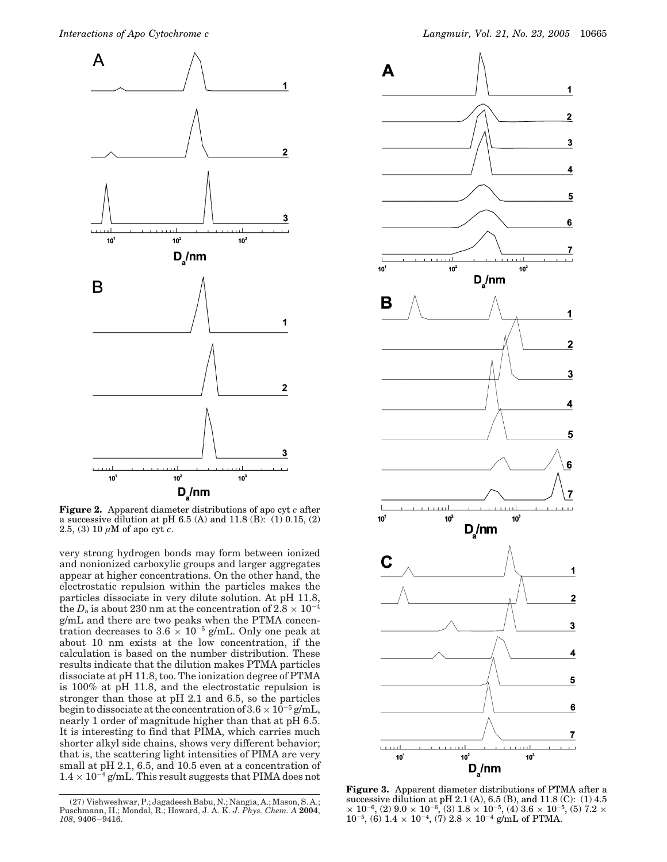

**Figure 2.** Apparent diameter distributions of apo cyt *c* after a successive dilution at pH 6.5 (A) and 11.8 (B):  $(1)$  0.15,  $(2)$ 2.5, (3) 10 *µ*M of apo cyt *c*.

very strong hydrogen bonds may form between ionized and nonionized carboxylic groups and larger aggregates appear at higher concentrations. On the other hand, the electrostatic repulsion within the particles makes the particles dissociate in very dilute solution. At pH 11.8, the  $D_a$  is about 230 nm at the concentration of 2.8  $\times$  10<sup>-4</sup> g/mL and there are two peaks when the PTMA concentration decreases to  $3.6 \times 10^{-5}$  g/mL. Only one peak at about 10 nm exists at the low concentration, if the calculation is based on the number distribution. These results indicate that the dilution makes PTMA particles dissociate at pH 11.8, too. The ionization degree of PTMA is 100% at pH 11.8, and the electrostatic repulsion is stronger than those at pH 2.1 and 6.5, so the particles begin to dissociate at the concentration of  $3.6 \times 10^{-5}$  g/mL, nearly 1 order of magnitude higher than that at pH 6.5. It is interesting to find that PIMA, which carries much shorter alkyl side chains, shows very different behavior; that is, the scattering light intensities of PIMA are very small at pH 2.1, 6.5, and 10.5 even at a concentration of  $1.4 \times 10^{-4}$  g/mL. This result suggests that PIMA does not



**Figure 3.** Apparent diameter distributions of PTMA after a successive dilution at pH 2.1 (A), 6.5 (B), and 11.8 (C): (1) 4.5  $\times$  10<sup>-6</sup>, (2) 9.0  $\times$  10<sup>-6</sup>, (3) 1.8  $\times$  10<sup>-5</sup>, (4) 3.6  $\times$  10<sup>-5</sup>, (5) 7.2  $\times$  $10^{-5}$ , (6)  $1.4 \times 10^{-4}$ , (7)  $2.8 \times 10^{-4}$  g/mL of PTMA.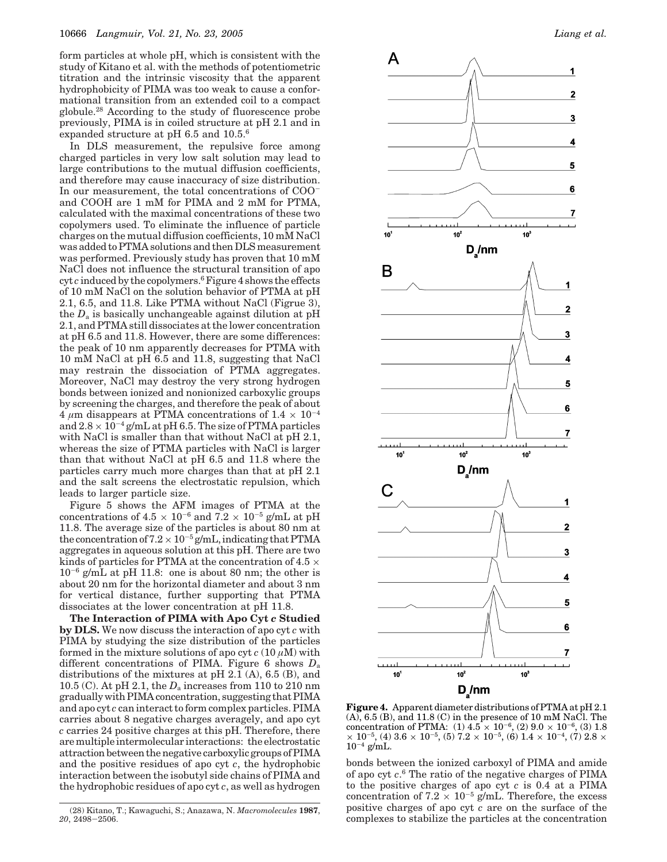form particles at whole pH, which is consistent with the study of Kitano et al. with the methods of potentiometric titration and the intrinsic viscosity that the apparent hydrophobicity of PIMA was too weak to cause a conformational transition from an extended coil to a compact globule.28 According to the study of fluorescence probe previously, PIMA is in coiled structure at pH 2.1 and in expanded structure at pH 6.5 and 10.5.6

In DLS measurement, the repulsive force among charged particles in very low salt solution may lead to large contributions to the mutual diffusion coefficients, and therefore may cause inaccuracy of size distribution. In our measurement, the total concentrations of COOand COOH are 1 mM for PIMA and 2 mM for PTMA, calculated with the maximal concentrations of these two copolymers used. To eliminate the influence of particle charges on the mutual diffusion coefficients, 10 mM NaCl was added to PTMA solutions and then DLS measurement was performed. Previously study has proven that 10 mM NaCl does not influence the structural transition of apo cyt *c* induced by the copolymers.6Figure 4 shows the effects of 10 mM NaCl on the solution behavior of PTMA at pH 2.1, 6.5, and 11.8. Like PTMA without NaCl (Figrue 3), the  $D_a$  is basically unchangeable against dilution at  $pH$ 2.1, and PTMA still dissociates at the lower concentration at pH 6.5 and 11.8. However, there are some differences: the peak of 10 nm apparently decreases for PTMA with 10 mM NaCl at pH 6.5 and 11.8, suggesting that NaCl may restrain the dissociation of PTMA aggregates. Moreover, NaCl may destroy the very strong hydrogen bonds between ionized and nonionized carboxylic groups by screening the charges, and therefore the peak of about  $4 \mu$ m disappears at PTMA concentrations of  $1.4 \times 10^{-4}$ and  $2.8 \times 10^{-4}$  g/mL at pH 6.5. The size of PTMA particles with NaCl is smaller than that without NaCl at pH 2.1, whereas the size of PTMA particles with NaCl is larger than that without NaCl at pH 6.5 and 11.8 where the particles carry much more charges than that at pH 2.1 and the salt screens the electrostatic repulsion, which leads to larger particle size.

Figure 5 shows the AFM images of PTMA at the concentrations of  $4.5 \times 10^{-6}$  and  $7.2 \times 10^{-5}$  g/mL at pH 11.8. The average size of the particles is about 80 nm at the concentration of  $7.2 \times 10^{-5}$  g/mL, indicating that PTMA aggregates in aqueous solution at this pH. There are two kinds of particles for PTMA at the concentration of 4.5  $\times$  $10^{-6}$  g/mL at pH 11.8: one is about 80 nm; the other is about 20 nm for the horizontal diameter and about 3 nm for vertical distance, further supporting that PTMA dissociates at the lower concentration at pH 11.8.

**The Interaction of PIMA with Apo Cyt** *c* **Studied by DLS.** We now discuss the interaction of apo cyt *c* with PIMA by studying the size distribution of the particles formed in the mixture solutions of apo cyt  $c(10 \mu M)$  with different concentrations of PIMA. Figure 6 shows *D*<sup>a</sup> distributions of the mixtures at pH 2.1 (A), 6.5 (B), and 10.5 (C). At pH 2.1, the *D*<sup>a</sup> increases from 110 to 210 nm gradually with PIMA concentration, suggesting that PIMA and apo cyt *c* can interact to form complex particles. PIMA carries about 8 negative charges averagely, and apo cyt *c* carries 24 positive charges at this pH. Therefore, there are multiple intermolecular interactions: the electrostatic attraction between the negative carboxylic groups of PIMA and the positive residues of apo cyt *c*, the hydrophobic interaction between the isobutyl side chains of PIMA and the hydrophobic residues of apo cyt *c*, as well as hydrogen



**Figure 4.** Apparent diameter distributions of PTMA at pH 2.1  $(A)$ , 6.5  $(B)$ , and 11.8  $(C)$  in the presence of 10 mM NaCl. The concentration of PTMA:  $(1)$  4.5  $\times$  10<sup>-6</sup>,  $(2)$  9.0  $\times$  10<sup>-6</sup>,  $(3)$  1.8  $\times$   $10^{-5}$ , (4)  $3.6\times10^{-5}$ , (5)  $7.2\times10^{-5}$ , (6)  $1.4\times10^{-4}$ , (7)  $2.8\times$  $10^{-4}$  g/mL.

bonds between the ionized carboxyl of PIMA and amide of apo cyt *c*. <sup>6</sup> The ratio of the negative charges of PIMA to the positive charges of apo cyt *c* is 0.4 at a PIMA concentration of  $7.2 \times 10^{-5}$  g/mL. Therefore, the excess positive charges of apo cyt *c* are on the surface of the (28) Kitano, T.; Kawaguchi, S.; Anazawa, N. *Macromolecules* 1987, positive charges of apo cyt c are on the surface of the concentration complexes to stabilize the particles at the concentration

*<sup>20</sup>*, 2498-2506.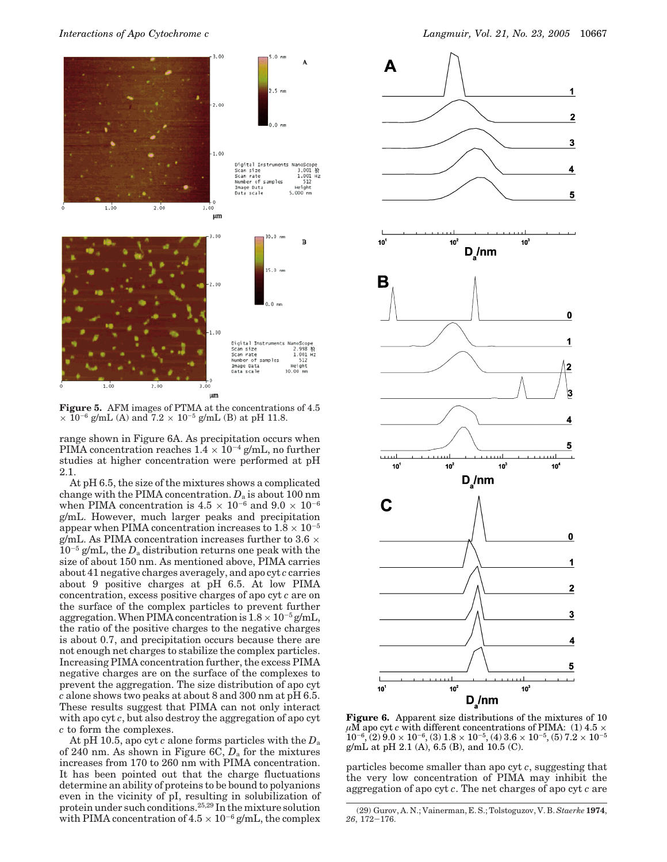

**Figure 5.** AFM images of PTMA at the concentrations of 4.5  $\times$  10<sup>-6</sup> g/mL (A) and 7.2  $\times$  10<sup>-5</sup> g/mL (B) at pH 11.8.

range shown in Figure 6A. As precipitation occurs when PIMA concentration reaches  $1.4 \times 10^{-4}$  g/mL, no further studies at higher concentration were performed at pH 2.1.

At pH 6.5, the size of the mixtures shows a complicated change with the PIMA concentration. *D*<sup>a</sup> is about 100 nm when PIMA concentration is  $4.5 \times 10^{-6}$  and  $9.0 \times 10^{-6}$ g/mL. However, much larger peaks and precipitation appear when PIMA concentration increases to  $1.8 \times 10^{-5}$ g/mL. As PIMA concentration increases further to 3.6  $\times$  $10^{-5}$  g/mL, the  $D_a$  distribution returns one peak with the size of about 150 nm. As mentioned above, PIMA carries about 41 negative charges averagely, and apo cyt *c* carries about 9 positive charges at pH 6.5. At low PIMA concentration, excess positive charges of apo cyt *c* are on the surface of the complex particles to prevent further aggregation. When PIMA concentration is  $1.8 \times 10^{-5}$  g/mL, the ratio of the positive charges to the negative charges is about 0.7, and precipitation occurs because there are not enough net charges to stabilize the complex particles. Increasing PIMA concentration further, the excess PIMA negative charges are on the surface of the complexes to prevent the aggregation. The size distribution of apo cyt *c* alone shows two peaks at about 8 and 300 nm at pH 6.5. These results suggest that PIMA can not only interact with apo cyt *c*, but also destroy the aggregation of apo cyt *c* to form the complexes.

At pH 10.5, apo cyt *c* alone forms particles with the *D*<sup>a</sup> of 240 nm. As shown in Figure 6C, *D*<sup>a</sup> for the mixtures increases from 170 to 260 nm with PIMA concentration. It has been pointed out that the charge fluctuations determine an ability of proteins to be bound to polyanions even in the vicinity of pI, resulting in solubilization of protein under such conditions.25,29 In the mixture solution with PIMA concentration of  $4.5 \times 10^{-6}$  g/mL, the complex



**Figure 6.** Apparent size distributions of the mixtures of 10  $\mu$ M apo cyt *c* with different concentrations of PIMA: (1) 4.5  $\times$  $10^{-6}$ , (2)  $9.0 \times 10^{-6}$ , (3)  $1.8 \times 10^{-5}$ , (4)  $3.6 \times 10^{-5}$ , (5)  $7.2 \times 10^{-5}$ g/mL at pH 2.1 (A), 6.5 (B), and 10.5 (C).

particles become smaller than apo cyt *c*, suggesting that the very low concentration of PIMA may inhibit the aggregation of apo cyt *c*. The net charges of apo cyt *c* are

<sup>(29)</sup> Gurov, A. N.; Vainerman, E. S.; Tolstoguzov, V. B. *Staerke* **1974**, *<sup>26</sup>*, 172-176.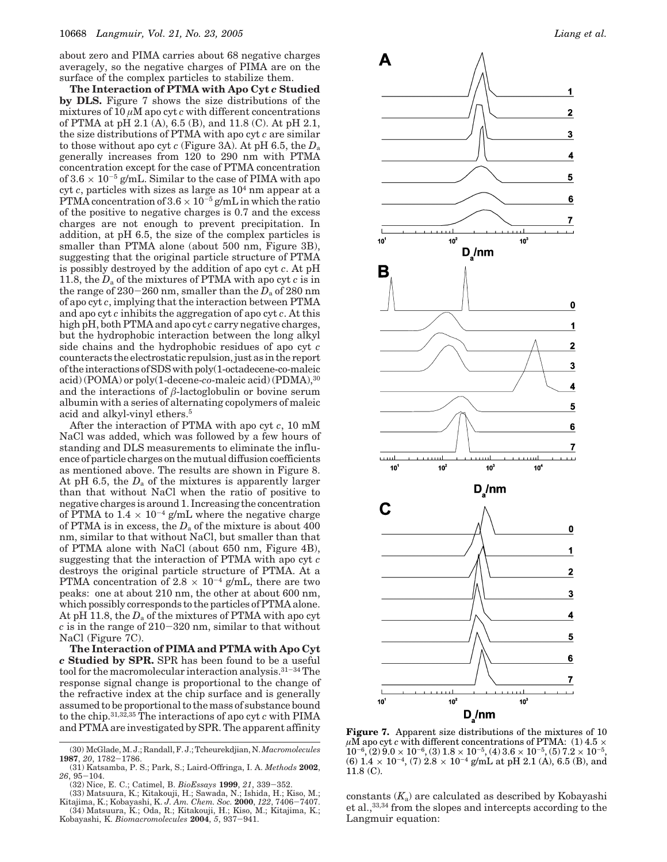about zero and PIMA carries about 68 negative charges averagely, so the negative charges of PIMA are on the surface of the complex particles to stabilize them.

**The Interaction of PTMA with Apo Cyt** *c* **Studied by DLS.** Figure 7 shows the size distributions of the mixtures of 10  $\mu$ M apo cyt *c* with different concentrations of PTMA at pH 2.1 (A), 6.5 (B), and 11.8 (C). At pH 2.1, the size distributions of PTMA with apo cyt *c* are similar to those without apo cyt *c* (Figure 3A). At pH 6.5, the *D*<sup>a</sup> generally increases from 120 to 290 nm with PTMA concentration except for the case of PTMA concentration of  $3.6 \times 10^{-5}$  g/mL. Similar to the case of PIMA with apo cyt *c*, particles with sizes as large as 104 nm appear at a PTMA concentration of  $3.6 \times 10^{-5}$  g/mL in which the ratio of the positive to negative charges is 0.7 and the excess charges are not enough to prevent precipitation. In addition, at pH 6.5, the size of the complex particles is smaller than PTMA alone (about 500 nm, Figure 3B), suggesting that the original particle structure of PTMA is possibly destroyed by the addition of apo cyt *c*. At pH 11.8, the *D*<sup>a</sup> of the mixtures of PTMA with apo cyt *c* is in the range of  $230-260$  nm, smaller than the  $D_a$  of 280 nm of apo cyt *c*, implying that the interaction between PTMA and apo cyt *c* inhibits the aggregation of apo cyt *c*. At this high pH, both PTMA and apo cyt *c* carry negative charges, but the hydrophobic interaction between the long alkyl side chains and the hydrophobic residues of apo cyt *c* counteracts the electrostatic repulsion, just as in the report of the interactions of SDS with poly(1-octadecene-co-maleic acid) (POMA) or poly(1-decene-*co*-maleic acid) (PDMA),30 and the interactions of  $\beta$ -lactoglobulin or bovine serum albumin with a series of alternating copolymers of maleic acid and alkyl-vinyl ethers.5

After the interaction of PTMA with apo cyt *c*, 10 mM NaCl was added, which was followed by a few hours of standing and DLS measurements to eliminate the influence of particle charges on the mutual diffusion coefficients as mentioned above. The results are shown in Figure 8. At pH 6.5, the  $D_a$  of the mixtures is apparently larger than that without NaCl when the ratio of positive to negative charges is around 1. Increasing the concentration of PTMA to  $1.4 \times 10^{-4}$  g/mL where the negative charge of PTMA is in excess, the  $D_a$  of the mixture is about  $400$ nm, similar to that without NaCl, but smaller than that of PTMA alone with NaCl (about 650 nm, Figure 4B), suggesting that the interaction of PTMA with apo cyt *c* destroys the original particle structure of PTMA. At a PTMA concentration of  $2.8 \times 10^{-4}$  g/mL, there are two peaks: one at about 210 nm, the other at about 600 nm, which possibly corresponds to the particles of PTMA alone. At pH 11.8, the *D*<sup>a</sup> of the mixtures of PTMA with apo cyt *<sup>c</sup>* is in the range of 210-320 nm, similar to that without NaCl (Figure 7C).

**The Interaction of PIMA and PTMA with Apo Cyt** *c* **Studied by SPR.** SPR has been found to be a useful tool for the macromolecular interaction analysis.31-<sup>34</sup> The response signal change is proportional to the change of the refractive index at the chip surface and is generally assumed to be proportional to the mass of substance bound to the chip.31,32,35 The interactions of apo cyt *c* with PIMA and PTMA are investigated by SPR. The apparent affinity



**Figure 7.** Apparent size distributions of the mixtures of 10  $\mu$ M apo cyt *c* with different concentrations of PTMA: (1) 4.5  $\times$  $10^{-6}$ ,  $(2)$   $9.0 \times 10^{-6}$ ,  $(3)$   $1.8 \times 10^{-5}$ ,  $(4)$   $3.6 \times 10^{-5}$ ,  $(5)$   $7.2 \times 10^{-5}$ ,  $(6)$   $1.2 \times 10^{-5}$ (6)  $1.4 \times 10^{-4}$ , (7)  $2.8 \times 10^{-4}$  g/mL at pH 2.1 (A), 6.5 (B), and 11.8 (C).

constants  $(K_{\mathrm{a}})$  are calculated as described by Kobayashi et al.,33,34 from the slopes and intercepts according to the Langmuir equation:

<sup>(30)</sup> McGlade, M. J.; Randall, F. J.; Tcheurekdjian, N.*Macromolecules* **<sup>1987</sup>**, *<sup>20</sup>*, 1782-1786.

<sup>(31)</sup> Katsamba, P. S.; Park, S.; Laird-Offringa, I. A. *Methods* **2002**, 26, 95-104.<br>(32) Nice, E. C.; Catimel, B. BioEssays **1999**, 21, 339-352.

<sup>(32)</sup> Nice, E. C.; Catimel, B. *BioEssays* **<sup>1999</sup>**, *<sup>21</sup>*, 339-352. (33) Matsuura, K.; Kitakouji, H.; Sawada, N.; Ishida, H.; Kiso, M.;

Kitajima, K.; Kobayashi, K. *J. Am. Chem. Soc.* **2000**, 122, 7406–7407.<br>(34) Matsuura, K.; Oda, R.; Kitakouji, H.; Kiso, M.; Kitajima, K.;<br>Kobayashi, K. *Biomacromolecules* **2004**, 5, 937–941.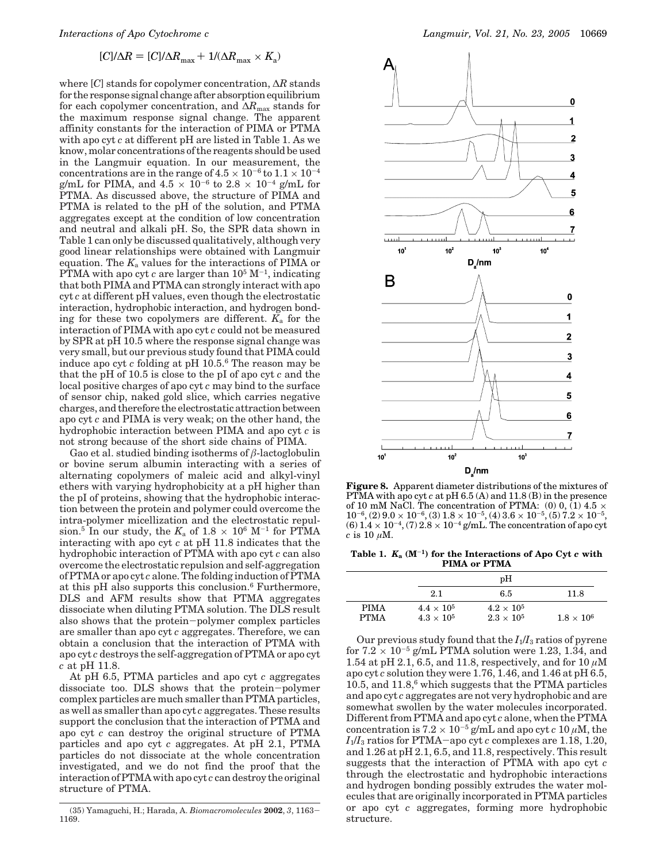$$
[C]/\Delta R = [C]/\Delta R_{\text{max}} + 1/(\Delta R_{\text{max}} \times K_{\text{a}})
$$

where [*C*] stands for copolymer concentration, ∆*R* stands for the response signal change after absorption equilibrium for each copolymer concentration, and ∆*R*max stands for the maximum response signal change. The apparent affinity constants for the interaction of PIMA or PTMA with apo cyt *c* at different pH are listed in Table 1. As we know, molar concentrations of the reagents should be used in the Langmuir equation. In our measurement, the concentrations are in the range of  $4.5 \times 10^{-6}$  to  $1.1 \times 10^{-4}$ g/mL for PIMA, and  $4.5 \times 10^{-6}$  to  $2.8 \times 10^{-4}$  g/mL for PTMA. As discussed above, the structure of PIMA and PTMA is related to the pH of the solution, and PTMA aggregates except at the condition of low concentration and neutral and alkali pH. So, the SPR data shown in Table 1 can only be discussed qualitatively, although very good linear relationships were obtained with Langmuir equation. The  $K_a$  values for the interactions of PIMA or PTMA with apo cyt  $c$  are larger than  $10^5$  M<sup>-1</sup>, indicating that both PIMA and PTMA can strongly interact with apo cyt *c* at different pH values, even though the electrostatic interaction, hydrophobic interaction, and hydrogen bonding for these two copolymers are different.  $K_a$  for the interaction of PIMA with apo cyt *c* could not be measured by SPR at pH 10.5 where the response signal change was very small, but our previous study found that PIMA could induce apo cyt *c* folding at pH 10.5.6 The reason may be that the pH of 10.5 is close to the pI of apo cyt *c* and the local positive charges of apo cyt *c* may bind to the surface of sensor chip, naked gold slice, which carries negative charges, and therefore the electrostatic attraction between apo cyt *c* and PIMA is very weak; on the other hand, the hydrophobic interaction between PIMA and apo cyt *c* is not strong because of the short side chains of PIMA.

Gao et al. studied binding isotherms of *â*-lactoglobulin or bovine serum albumin interacting with a series of alternating copolymers of maleic acid and alkyl-vinyl ethers with varying hydrophobicity at a pH higher than the pI of proteins, showing that the hydrophobic interaction between the protein and polymer could overcome the intra-polymer micellization and the electrostatic repulsion.<sup>5</sup> In our study, the  $K_a$  of 1.8  $\times$  10<sup>6</sup> M<sup>-1</sup> for PTMA interacting with apo cyt *c* at pH 11.8 indicates that the hydrophobic interaction of PTMA with apo cyt *c* can also overcome the electrostatic repulsion and self-aggregation of PTMA or apo cyt *c* alone. The folding induction of PTMA at this pH also supports this conclusion.6 Furthermore, DLS and AFM results show that PTMA aggregates dissociate when diluting PTMA solution. The DLS result also shows that the protein-polymer complex particles are smaller than apo cyt *c* aggregates. Therefore, we can obtain a conclusion that the interaction of PTMA with apo cyt *c* destroys the self-aggregation of PTMA or apo cyt *c* at pH 11.8.

At pH 6.5, PTMA particles and apo cyt *c* aggregates dissociate too. DLS shows that the protein-polymer complex particles are much smaller than PTMA particles, as well as smaller than apo cyt *c* aggregates. These results support the conclusion that the interaction of PTMA and apo cyt *c* can destroy the original structure of PTMA particles and apo cyt *c* aggregates. At pH 2.1, PTMA particles do not dissociate at the whole concentration investigated, and we do not find the proof that the interaction of PTMA with apo cyt *c* can destroy the original structure of PTMA.



**Figure 8.** Apparent diameter distributions of the mixtures of PTMA with apo cyt *c* at pH 6.5 (A) and 11.8 (B) in the presence of 10 mM NaCl. The concentration of PTMA:  $(0)$  0,  $(1)$  4.5  $\times$  $10^{-6}$ ,  $(2)$   $9.0 \times 10^{-6}$ ,  $(3)$   $1.8 \times 10^{-5}$ ,  $(4)$   $3.6 \times 10^{-5}$ ,  $(5)$   $7.2 \times 10^{-5}$ ,  $(6)$   $1.2 \times 10^{-5}$  $(6)$   $1.4 \times 10^{-4}$ ,  $(7)$   $2.8 \times 10^{-4}$  g/mL. The concentration of apo cyt  $c$  is 10  $\mu$ M.

**Table 1.** *K***<sup>a</sup> (M**-**1) for the Interactions of Apo Cyt** *c* **with PIMA or PTMA**

|                            |                                          | pH                                         |                 |
|----------------------------|------------------------------------------|--------------------------------------------|-----------------|
|                            | 2.1                                      | 6.5                                        | 11.8            |
| <b>PIMA</b><br><b>PTMA</b> | $4.4\times10^{5}$<br>$4.3 \times 10^{5}$ | $4.2 \times 10^{5}$<br>$2.3 \times 10^{5}$ | $1.8\times10^6$ |

Our previous study found that the  $I_1/I_3$  ratios of pyrene for  $7.2 \times 10^{-5}$  g/mL PTMA solution were 1.23, 1.34, and 1.54 at pH 2.1, 6.5, and 11.8, respectively, and for 10 *µ*M apo cyt *c* solution they were 1.76, 1.46, and 1.46 at pH 6.5, 10.5, and  $11.8$ , which suggests that the PTMA particles and apo cyt *c* aggregates are not very hydrophobic and are somewhat swollen by the water molecules incorporated. Different from PTMA and apo cyt *c* alone, when the PTMA concentration is  $7.2 \times 10^{-5}$  g/mL and apo cyt *c* 10  $\mu$ M, the  $I_1/I_3$  ratios for PTMA-apo cyt *c* complexes are 1.18, 1.20, and 1.26 at pH 2.1, 6.5, and 11.8, respectively. This result suggests that the interaction of PTMA with apo cyt *c* through the electrostatic and hydrophobic interactions and hydrogen bonding possibly extrudes the water molecules that are originally incorporated in PTMA particles or apo cyt *c* aggregates, forming more hydrophobic structure.

<sup>(35)</sup> Yamaguchi, H.; Harada, A. *Biomacromolecules* **<sup>2002</sup>**, *<sup>3</sup>*, 1163- 1169.